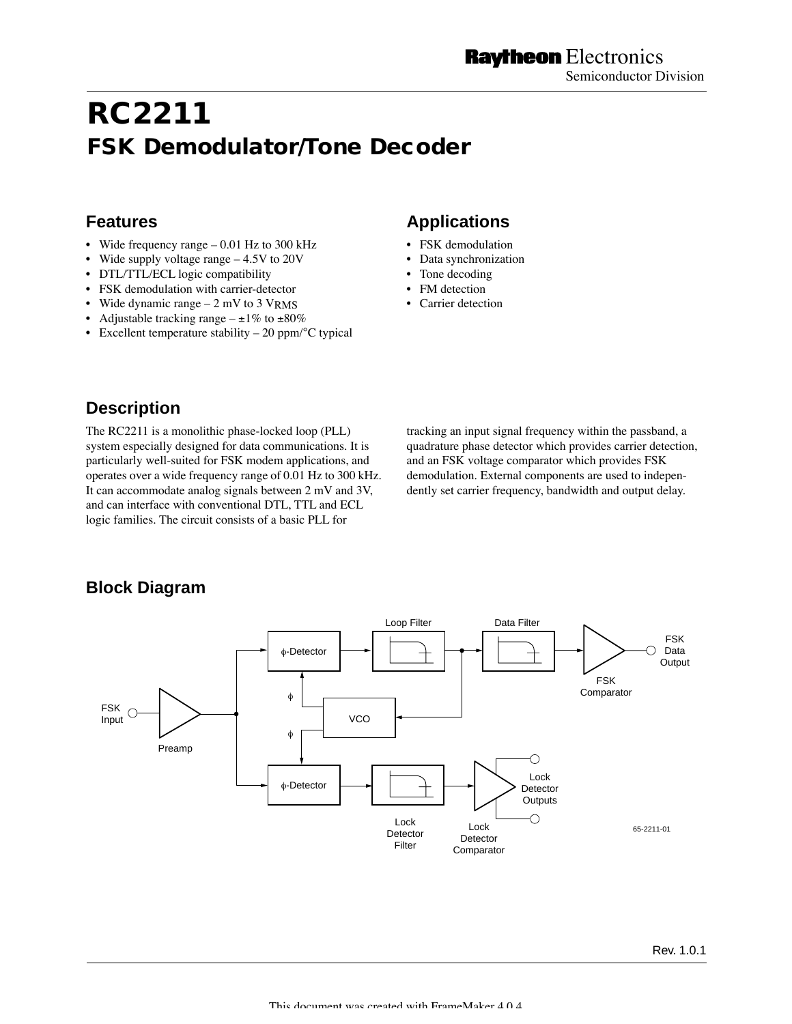# **RC2211 FSK Demodulator/Tone Decoder**

### **Features**

- Wide frequency range 0.01 Hz to 300 kHz
- Wide supply voltage range 4.5V to 20V
- DTL/TTL/ECL logic compatibility
- FSK demodulation with carrier-detector
- Wide dynamic range  $-2$  mV to 3 VRMS
- Adjustable tracking range  $-\pm 1\%$  to  $\pm 80\%$
- Excellent temperature stability  $-20$  ppm/ $\mathrm{^{\circ}C}$  typical

# **Applications**

- FSK demodulation
- Data synchronization
- Tone decoding
- FM detection
- Carrier detection

# **Description**

The RC2211 is a monolithic phase-locked loop (PLL) system especially designed for data communications. It is particularly well-suited for FSK modem applications, and operates over a wide frequency range of 0.01 Hz to 300 kHz. It can accommodate analog signals between 2 mV and 3V, and can interface with conventional DTL, TTL and ECL logic families. The circuit consists of a basic PLL for

tracking an input signal frequency within the passband, a quadrature phase detector which provides carrier detection, and an FSK voltage comparator which provides FSK demodulation. External components are used to independently set carrier frequency, bandwidth and output delay.

# **Block Diagram**

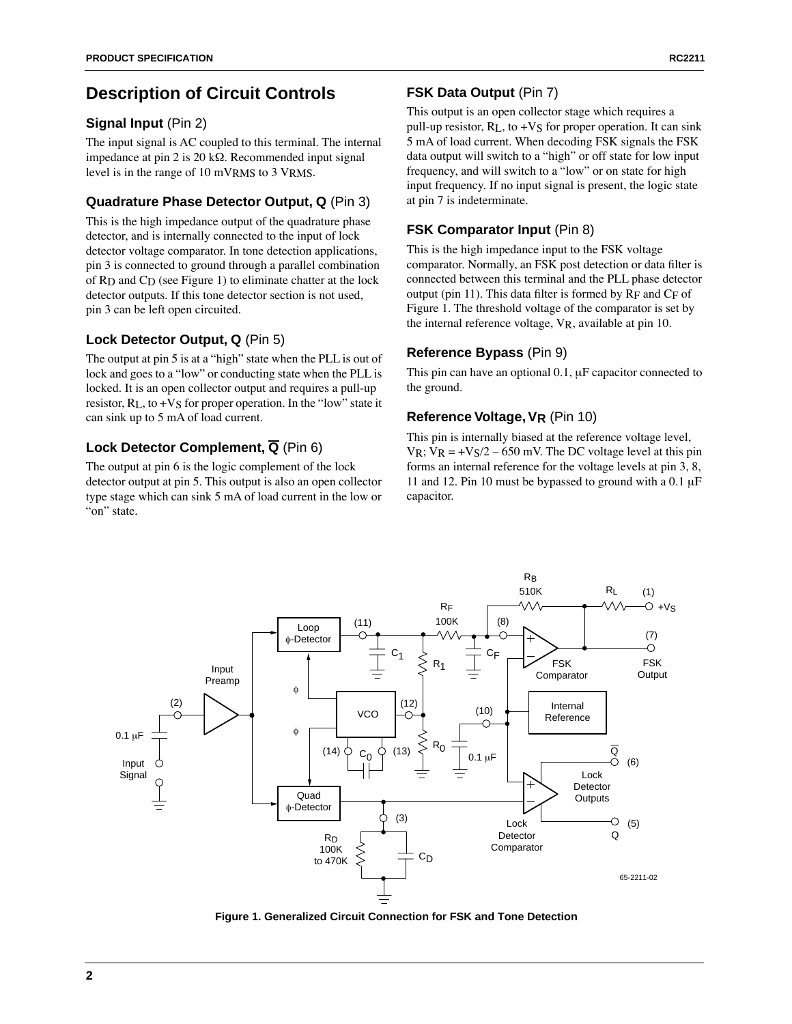# **Description of Circuit Controls**

### **Signal Input** (Pin 2)

The input signal is AC coupled to this terminal. The internal impedance at pin 2 is 20 k $\Omega$ . Recommended input signal level is in the range of 10 mVRMS to 3 VRMS.

### **Quadrature Phase Detector Output, Q** (Pin 3)

This is the high impedance output of the quadrature phase detector, and is internally connected to the input of lock detector voltage comparator. In tone detection applications, pin 3 is connected to ground through a parallel combination of RD and CD (see Figure 1) to eliminate chatter at the lock detector outputs. If this tone detector section is not used, pin 3 can be left open circuited.

### **Lock Detector Output, Q** (Pin 5)

The output at pin 5 is at a "high" state when the PLL is out of lock and goes to a "low" or conducting state when the PLL is locked. It is an open collector output and requires a pull-up resistor, RL, to +VS for proper operation. In the "low" state it can sink up to 5 mA of load current.

### **Lock Detector Complement, Q** (Pin 6)

The output at pin 6 is the logic complement of the lock detector output at pin 5. This output is also an open collector type stage which can sink 5 mA of load current in the low or "on" state.

### **FSK Data Output** (Pin 7)

This output is an open collector stage which requires a pull-up resistor,  $R<sub>L</sub>$ , to +V<sub>S</sub> for proper operation. It can sink 5 mA of load current. When decoding FSK signals the FSK data output will switch to a "high" or off state for low input frequency, and will switch to a "low" or on state for high input frequency. If no input signal is present, the logic state at pin 7 is indeterminate.

### **FSK Comparator Input** (Pin 8)

This is the high impedance input to the FSK voltage comparator. Normally, an FSK post detection or data filter is connected between this terminal and the PLL phase detector output (pin 11). This data filter is formed by  $R_F$  and  $C_F$  of Figure 1. The threshold voltage of the comparator is set by the internal reference voltage, VR, available at pin 10.

### **Reference Bypass** (Pin 9)

This pin can have an optional 0.1, uF capacitor connected to the ground.

### **Reference Voltage, VR** (Pin 10)

This pin is internally biased at the reference voltage level, VR;  $V_R = +V_S/2 - 650$  mV. The DC voltage level at this pin forms an internal reference for the voltage levels at pin 3, 8, 11 and 12. Pin 10 must be bypassed to ground with a  $0.1 \mu$ F capacitor.



**Figure 1. Generalized Circuit Connection for FSK and Tone Detection**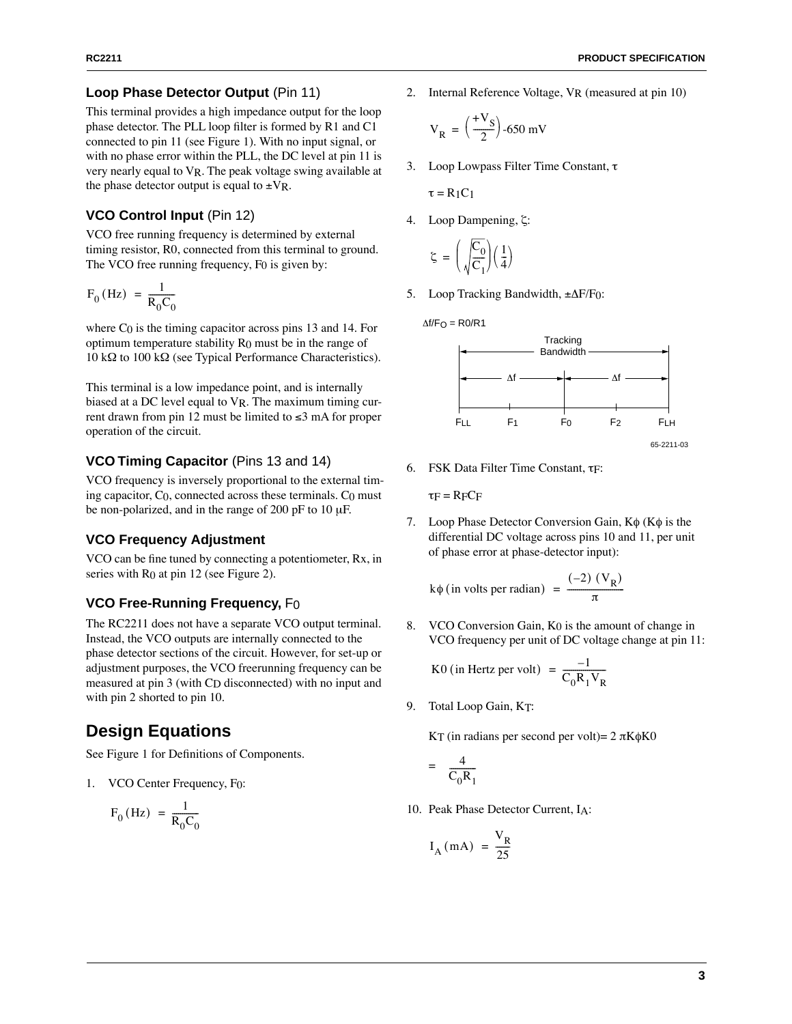#### **Loop Phase Detector Output** (Pin 11)

This terminal provides a high impedance output for the loop phase detector. The PLL loop filter is formed by R1 and C1 connected to pin 11 (see Figure 1). With no input signal, or with no phase error within the PLL, the DC level at pin 11 is very nearly equal to VR. The peak voltage swing available at the phase detector output is equal to  $\pm V_R$ .

#### **VCO Control Input** (Pin 12)

VCO free running frequency is determined by external timing resistor, R0, connected from this terminal to ground. The VCO free running frequency, F0 is given by:

$$
F_0(Hz) = \frac{1}{R_0C_0}
$$

where  $C_0$  is the timing capacitor across pins 13 and 14. For optimum temperature stability R0 must be in the range of  $10 \text{ k}\Omega$  to  $100 \text{ k}\Omega$  (see Typical Performance Characteristics).

This terminal is a low impedance point, and is internally biased at a DC level equal to VR. The maximum timing current drawn from pin 12 must be limited to  $\leq 3$  mA for proper operation of the circuit.

#### **VCO Timing Capacitor** (Pins 13 and 14)

VCO frequency is inversely proportional to the external timing capacitor, C0, connected across these terminals. C0 must be non-polarized, and in the range of 200 pF to 10  $\mu$ F.

#### **VCO Frequency Adjustment**

VCO can be fine tuned by connecting a potentiometer, Rx, in series with  $R_0$  at pin 12 (see Figure 2).

#### **VCO Free-Running Frequency,** F0

The RC2211 does not have a separate VCO output terminal. Instead, the VCO outputs are internally connected to the phase detector sections of the circuit. However, for set-up or adjustment purposes, the VCO freerunning frequency can be measured at pin 3 (with CD disconnected) with no input and with pin 2 shorted to pin 10.

### **Design Equations**

See Figure 1 for Definitions of Components.

1. VCO Center Frequency, F0:

$$
F_0 \text{ (Hz)} = \frac{1}{R_0 C_0}
$$

2. Internal Reference Voltage, VR (measured at pin 10)

$$
V_R = \left(\frac{+V_S}{2}\right) - 650 \text{ mV}
$$

3. Loop Lowpass Filter Time Constant,  $\tau$ 

$$
\tau = R_1 C_1 \,
$$

4. Loop Dampening, ζ:

$$
\zeta = \left(\sqrt{\frac{C_0}{C_1}}\right)\left(\frac{1}{4}\right)
$$

5. Loop Tracking Bandwidth,  $\pm \Delta F/F_0$ :

$$
\Delta f/F_O = R0/R1
$$



65-2211-03

6. FSK Data Filter Time Constant, tF:

 $\tau_F = RFCF$ 

7. Loop Phase Detector Conversion Gain,  $K\phi$  ( $K\phi$  is the differential DC voltage across pins 10 and 11, per unit of phase error at phase-detector input):

 $k\phi$  (in volts per radian) =  $\frac{(-2) (V_R)}{2}$  $=$   $\frac{\sqrt{N}}{\pi}$ 

8. VCO Conversion Gain, K0 is the amount of change in VCO frequency per unit of DC voltage change at pin 11:

$$
K0 \text{ (in Hertz per volt)} = \frac{-1}{C_0 R_1 V_R}
$$

9. Total Loop Gain, KT:

KT (in radians per second per volt) =  $2 \pi K \phi K0$ 

$$
= \frac{4}{C_0 R_1}
$$

10. Peak Phase Detector Current, IA:

$$
I_{A} (mA) = \frac{V_{R}}{25}
$$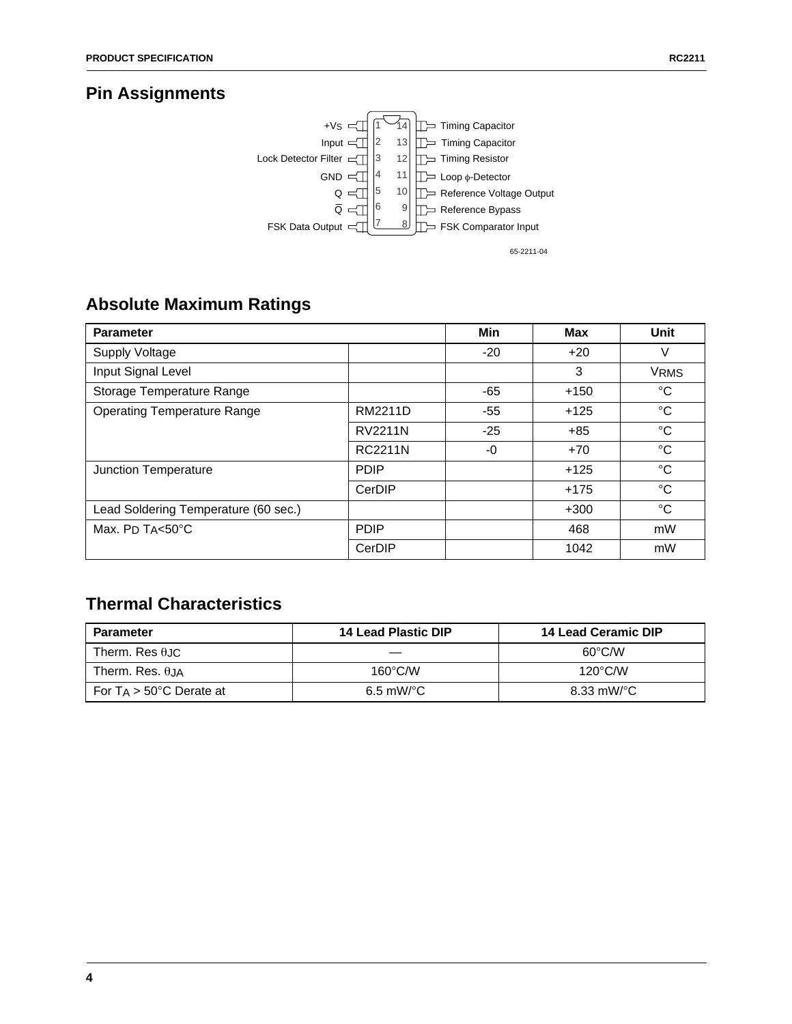# **Pin Assignments**



# **Absolute Maximum Ratings**

| <b>Parameter</b>                     |                | Min   | <b>Max</b> | Unit        |
|--------------------------------------|----------------|-------|------------|-------------|
| Supply Voltage                       |                | $-20$ | $+20$      | V           |
| Input Signal Level                   |                |       | 3          | <b>VRMS</b> |
| Storage Temperature Range            |                | $-65$ | $+150$     | $^{\circ}C$ |
| <b>Operating Temperature Range</b>   | <b>RM2211D</b> | $-55$ | $+125$     | $^{\circ}C$ |
|                                      | <b>RV2211N</b> | $-25$ | $+85$      | $^{\circ}C$ |
|                                      | <b>RC2211N</b> | -0    | $+70$      | $^{\circ}C$ |
| Junction Temperature                 | <b>PDIP</b>    |       | $+125$     | $^{\circ}C$ |
|                                      | CerDIP         |       | $+175$     | $^{\circ}C$ |
| Lead Soldering Temperature (60 sec.) |                |       | $+300$     | $^{\circ}C$ |
| Max. $P_D T_A < 50^{\circ}C$         | <b>PDIP</b>    |       | 468        | mW          |
|                                      | CerDIP         |       | 1042       | mW          |

# **Thermal Characteristics**

| <b>Parameter</b>                   | 14 Lead Plastic DIP | 14 Lead Ceramic DIP |  |  |
|------------------------------------|---------------------|---------------------|--|--|
| Therm. Res $\theta$ , IC           |                     | $60^{\circ}$ C/W    |  |  |
| Therm. Res. $\theta$ JA            | $160^{\circ}$ C/W   | $120^{\circ}$ C/W   |  |  |
| For $T_A > 50^{\circ}$ C Derate at | $6.5 \text{ mW}$ °C | 8.33 mW/°C          |  |  |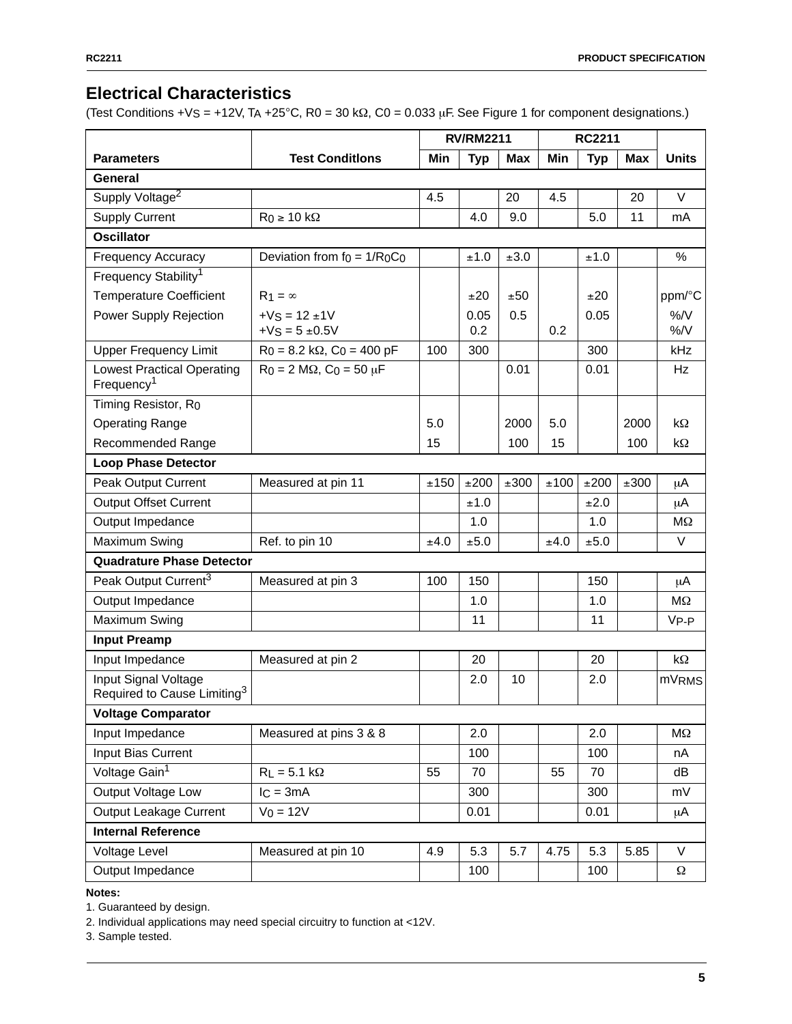# **Electrical Characteristics**

(Test Conditions + V<sub>S</sub> = +12V, T<sub>A</sub> +25°C, R<sub>0</sub> = 30 k $\Omega$ , C<sub>0</sub> = 0.033 µF. See Figure 1 for component designations.)

|                                                                 |                                                     | <b>RV/RM2211</b> |             | <b>RC2211</b> |      |            |      |                   |
|-----------------------------------------------------------------|-----------------------------------------------------|------------------|-------------|---------------|------|------------|------|-------------------|
| <b>Parameters</b>                                               | <b>Test Conditions</b>                              | Min              | <b>Typ</b>  | <b>Max</b>    | Min  | <b>Typ</b> | Max  | <b>Units</b>      |
| General                                                         |                                                     |                  |             |               |      |            |      |                   |
| Supply Voltage <sup>2</sup>                                     |                                                     | 4.5              |             | 20            | 4.5  |            | 20   | $\vee$            |
| <b>Supply Current</b>                                           | $R_0 \geq 10 k\Omega$                               |                  | 4.0         | 9.0           |      | 5.0        | 11   | mA                |
| <b>Oscillator</b>                                               |                                                     |                  |             |               |      |            |      |                   |
| <b>Frequency Accuracy</b>                                       | Deviation from $f_0 = 1/R_0C_0$                     |                  | ±1.0        | ±3.0          |      | ±1.0       |      | %                 |
| Frequency Stability <sup>1</sup>                                |                                                     |                  |             |               |      |            |      |                   |
| <b>Temperature Coefficient</b>                                  | $R_1 = \infty$                                      |                  | ±20         | ±50           |      | ±20        |      | ppm/°C            |
| Power Supply Rejection                                          | $+V$ <sub>S</sub> = 12 $\pm$ 1V<br>$+V$ S = 5 ±0.5V |                  | 0.05<br>0.2 | 0.5           | 0.2  | 0.05       |      | %N<br>%N          |
| <b>Upper Frequency Limit</b>                                    | $R_0 = 8.2$ kΩ, C <sub>0</sub> = 400 pF             | 100              | 300         |               |      | 300        |      | kHz               |
| <b>Lowest Practical Operating</b><br>Frequency <sup>1</sup>     | $R_0 = 2 M\Omega$ , $C_0 = 50 \mu F$                |                  |             | 0.01          |      | 0.01       |      | Hz                |
| Timing Resistor, Ro                                             |                                                     |                  |             |               |      |            |      |                   |
| <b>Operating Range</b>                                          |                                                     | 5.0              |             | 2000          | 5.0  |            | 2000 | kΩ                |
| Recommended Range                                               |                                                     | 15               |             | 100           | 15   |            | 100  | $k\Omega$         |
| <b>Loop Phase Detector</b>                                      |                                                     |                  |             |               |      |            |      |                   |
| Peak Output Current                                             | Measured at pin 11                                  | ±150             | ±200        | ±300          | ±100 | ±200       | ±300 | μA                |
| <b>Output Offset Current</b>                                    |                                                     |                  | ±1.0        |               |      | ±2.0       |      | μA                |
| Output Impedance                                                |                                                     |                  | 1.0         |               |      | 1.0        |      | $M\Omega$         |
| Maximum Swing                                                   | Ref. to pin 10                                      | ±4.0             | ±5.0        |               | ±4.0 | ±5.0       |      | V                 |
| <b>Quadrature Phase Detector</b>                                |                                                     |                  |             |               |      |            |      |                   |
| Peak Output Current <sup>3</sup>                                | Measured at pin 3                                   | 100              | 150         |               |      | 150        |      | μA                |
| Output Impedance                                                |                                                     |                  | 1.0         |               |      | 1.0        |      | $M\Omega$         |
| Maximum Swing                                                   |                                                     |                  | 11          |               |      | 11         |      | $V_{P-P}$         |
| <b>Input Preamp</b>                                             |                                                     |                  |             |               |      |            |      |                   |
| Input Impedance                                                 | Measured at pin 2                                   |                  | 20          |               |      | 20         |      | $k\Omega$         |
| Input Signal Voltage<br>Required to Cause Limiting <sup>3</sup> |                                                     |                  | 2.0         | 10            |      | 2.0        |      | mV <sub>RMS</sub> |
| <b>Voltage Comparator</b>                                       |                                                     |                  |             |               |      |            |      |                   |
| Input Impedance                                                 | Measured at pins 3 & 8                              |                  | 2.0         |               |      | 2.0        |      | $M\Omega$         |
| Input Bias Current                                              |                                                     |                  | 100         |               |      | 100        |      | nA                |
| Voltage Gain <sup>1</sup>                                       | $R_L = 5.1 k\Omega$                                 | 55               | 70          |               | 55   | 70         |      | dB                |
| Output Voltage Low                                              | $IC = 3mA$                                          |                  | 300         |               |      | 300        |      | mV                |
| Output Leakage Current                                          | $V_0 = 12V$                                         |                  | 0.01        |               |      | 0.01       |      | μA                |
| <b>Internal Reference</b>                                       |                                                     |                  |             |               |      |            |      |                   |
| Voltage Level                                                   | Measured at pin 10                                  | 4.9              | 5.3         | 5.7           | 4.75 | 5.3        | 5.85 | V                 |
| Output Impedance                                                |                                                     |                  | 100         |               |      | 100        |      | $\Omega$          |

**Notes:**

1. Guaranteed by design.

2. Individual applications may need special circuitry to function at <12V.

3. Sample tested.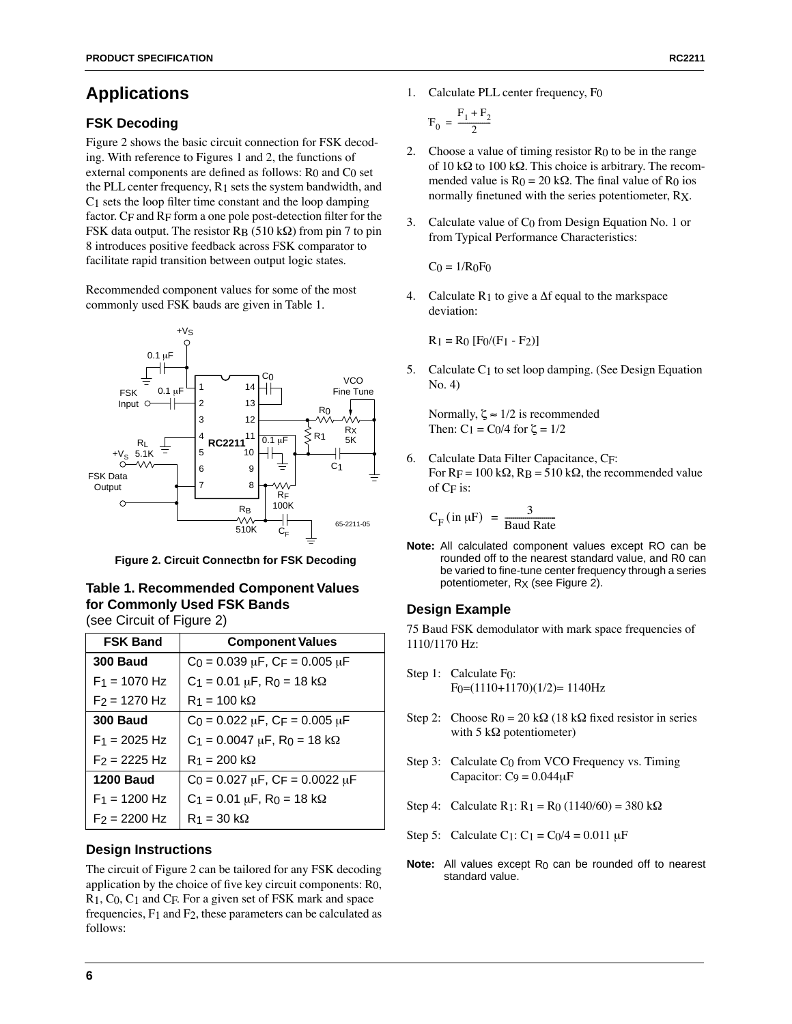# **Applications**

### **FSK Decoding**

Figure 2 shows the basic circuit connection for FSK decoding. With reference to Figures 1 and 2, the functions of external components are defined as follows: R<sub>0</sub> and C<sub>0</sub> set the PLL center frequency, R1 sets the system bandwidth, and C1 sets the loop filter time constant and the loop damping factor. CF and RF form a one pole post-detection filter for the FSK data output. The resistor  $R_B$  (510 k $\Omega$ ) from pin 7 to pin 8 introduces positive feedback across FSK comparator to facilitate rapid transition between output logic states.

Recommended component values for some of the most commonly used FSK bauds are given in Table 1.



**Figure 2. Circuit Connectbn for FSK Decoding**

#### **Table 1. Recommended Component Values for Commonly Used FSK Bands**  (see Circuit of Figure 2)

| <b>FSK Band</b>  | <b>Component Values</b>                       |
|------------------|-----------------------------------------------|
| <b>300 Baud</b>  | $C_0 = 0.039 \mu F$ , $CF = 0.005 \mu F$      |
| $F_1$ = 1070 Hz  | $C_1 = 0.01 \mu F$ , R <sub>0</sub> = 18 kΩ   |
| $F2 = 1270$ Hz   | $R_1 = 100 k\Omega$                           |
| <b>300 Baud</b>  | $C_0 = 0.022 \mu F$ , $C_F = 0.005 \mu F$     |
| $F_1 = 2025 Hz$  | $C_1 = 0.0047 \mu F$ , R <sub>0</sub> = 18 kΩ |
| $F_2 = 2225$ Hz  | $R_1 = 200 k\Omega$                           |
| <b>1200 Baud</b> | $C_0 = 0.027 \mu F$ , $C_F = 0.0022 \mu F$    |
| $F_1 = 1200$ Hz  | $C_1 = 0.01 \mu F$ , R <sub>0</sub> = 18 kΩ   |
| $F2 = 2200$ Hz   | $R_1 = 30 k\Omega$                            |

### **Design Instructions**

The circuit of Figure 2 can be tailored for any FSK decoding application by the choice of five key circuit components: R0, R1, C0, C1 and CF. For a given set of FSK mark and space frequencies, F1 and F2, these parameters can be calculated as follows:

1. Calculate PLL center frequency, F0

$$
\mathbf{F}_0 = \frac{\mathbf{F}_1 + \mathbf{F}_2}{2}
$$

- 2. Choose a value of timing resistor  $R_0$  to be in the range of 10 k $\Omega$  to 100 k $\Omega$ . This choice is arbitrary. The recommended value is  $R_0 = 20 \text{ k}\Omega$ . The final value of  $R_0$  ios normally finetuned with the series potentiometer, RX.
- 3. Calculate value of C0 from Design Equation No. 1 or from Typical Performance Characteristics:

 $Co = 1/ROF0$ 

4. Calculate  $R_1$  to give a  $\Delta f$  equal to the markspace deviation:

 $R_1 = R_0$  [F<sub>0</sub>/(F<sub>1</sub> - F<sub>2</sub>)]

5. Calculate C1 to set loop damping. (See Design Equation No. 4)

Normally,  $\zeta \approx 1/2$  is recommended Then:  $C_1 = C_0/4$  for  $\zeta = 1/2$ 

6. Calculate Data Filter Capacitance, CF: For  $R_F = 100 \text{ k}\Omega$ ,  $R_B = 510 \text{ k}\Omega$ , the recommended value of CF is:

$$
C_{F} (\text{in } \mu F) = \frac{3}{\text{Baud Rate}}
$$

**Note:** All calculated component values except RO can be rounded off to the nearest standard value, and R0 can be varied to fine-tune center frequency through a series potentiometer, RX (see Figure 2).

### **Design Example**

75 Baud FSK demodulator with mark space frequencies of 1110/1170 Hz:

- Step 1: Calculate F<sub>0</sub>:  $F_0=(1110+1170)(1/2)=1140Hz$
- Step 2: Choose  $R_0 = 20 k\Omega$  (18 k $\Omega$  fixed resistor in series with 5 k $\Omega$  potentiometer)
- Step 3: Calculate C0 from VCO Frequency vs. Timing Capacitor:  $C_9 = 0.044 \mu F$
- Step 4: Calculate R<sub>1</sub>: R<sub>1</sub> = R<sub>0</sub> (1140/60) = 380 k $\Omega$
- Step 5: Calculate C1:  $C_1 = C_0/4 = 0.011 \mu F$
- **Note:** All values except R<sub>0</sub> can be rounded off to nearest standard value.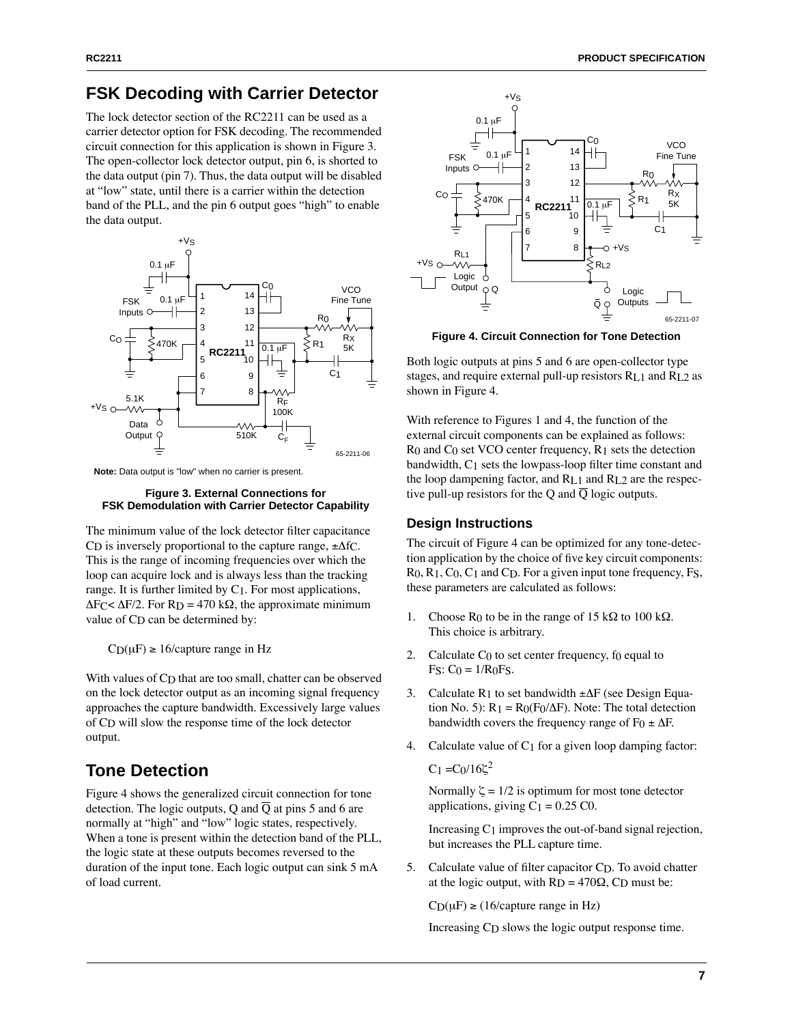# **FSK Decoding with Carrier Detector**

The lock detector section of the RC2211 can be used as a carrier detector option for FSK decoding. The recommended circuit connection for this application is shown in Figure 3. The open-collector lock detector output, pin 6, is shorted to the data output (pin 7). Thus, the data output will be disabled at "low" state, until there is a carrier within the detection band of the PLL, and the pin 6 output goes "high" to enable the data output.



**Note:** Data output is "low" when no carrier is present.

#### **Figure 3. External Connections for FSK Demodulation with Carrier Detector Capability**

The minimum value of the lock detector filter capacitance CD is inversely proportional to the capture range,  $\pm \Delta f$ C. This is the range of incoming frequencies over which the loop can acquire lock and is always less than the tracking range. It is further limited by C1. For most applications,  $\Delta F_C < \Delta F/2$ . For R<sub>D</sub> = 470 kΩ, the approximate minimum value of CD can be determined by:

 $CD(\mu) \ge 16$ /capture range in Hz

With values of C<sub>D</sub> that are too small, chatter can be observed on the lock detector output as an incoming signal frequency approaches the capture bandwidth. Excessively large values of CD will slow the response time of the lock detector output.

# **Tone Detection**

Figure 4 shows the generalized circuit connection for tone detection. The logic outputs, Q and  $\overline{Q}$  at pins 5 and 6 are normally at "high" and "low" logic states, respectively. When a tone is present within the detection band of the PLL, the logic state at these outputs becomes reversed to the duration of the input tone. Each logic output can sink 5 mA of load current.



**Figure 4. Circuit Connection for Tone Detection**

Both logic outputs at pins 5 and 6 are open-collector type stages, and require external pull-up resistors RL1 and RL2 as shown in Figure 4.

With reference to Figures 1 and 4, the function of the external circuit components can be explained as follows:  $R_0$  and  $C_0$  set VCO center frequency,  $R_1$  sets the detection bandwidth, C1 sets the lowpass-loop filter time constant and the loop dampening factor, and RL1 and RL2 are the respective pull-up resistors for the Q and  $\overline{Q}$  logic outputs.

### **Design Instructions**

The circuit of Figure 4 can be optimized for any tone-detection application by the choice of five key circuit components: R<sub>0</sub>, R<sub>1</sub>, C<sub>0</sub>, C<sub>1</sub> and C<sub>D</sub>. For a given input tone frequency, F<sub>S</sub>, these parameters are calculated as follows:

- 1. Choose R<sub>0</sub> to be in the range of 15 k $\Omega$  to 100 k $\Omega$ . This choice is arbitrary.
- 2. Calculate  $C_0$  to set center frequency, fo equal to  $Fs: Co = 1/R0Fs.$
- 3. Calculate R1 to set bandwidth  $\pm \Delta F$  (see Design Equation No. 5):  $R_1 = R_0(F_0/\Delta F)$ . Note: The total detection bandwidth covers the frequency range of F0  $\pm \Delta F$ .
- 4. Calculate value of C1 for a given loop damping factor:

 $C_1 = C_0/16\zeta^2$ 

Normally  $\zeta = 1/2$  is optimum for most tone detector applications, giving  $C_1 = 0.25$  C0.

Increasing  $C_1$  improves the out-of-band signal rejection, but increases the PLL capture time.

5. Calculate value of filter capacitor CD. To avoid chatter at the logic output, with  $R_D = 470\Omega$ , C<sub>D</sub> must be:

 $C_D(\mu) \ge (16/c$ apture range in Hz)

Increasing CD slows the logic output response time.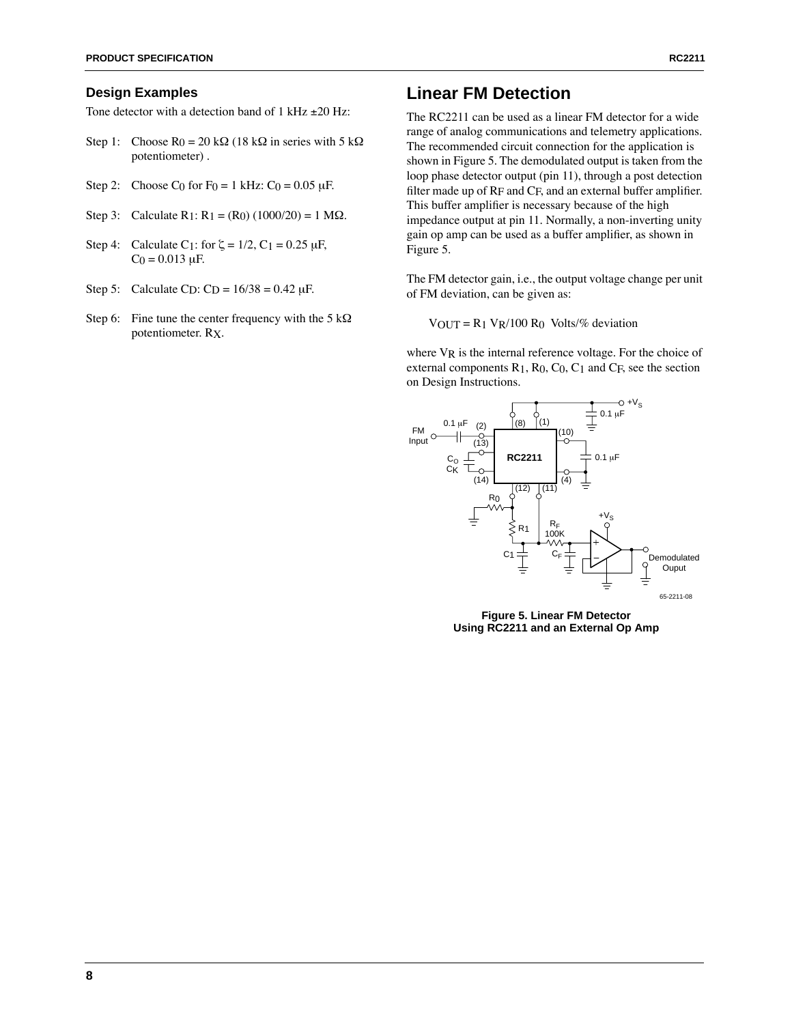#### **Design Examples**

Tone detector with a detection band of  $1$  kHz  $\pm 20$  Hz:

- Step 1: Choose  $R_0 = 20 k\Omega$  (18 k $\Omega$  in series with 5 k $\Omega$ ) potentiometer) .
- Step 2: Choose C<sub>0</sub> for F<sub>0</sub> = 1 kHz: C<sub>0</sub> = 0.05  $\mu$ F.
- Step 3: Calculate  $R_1$ :  $R_1 = (R_0) (1000/20) = 1 M\Omega$ .
- Step 4: Calculate C<sub>1</sub>: for  $\zeta = 1/2$ , C<sub>1</sub> = 0.25  $\mu$ F,  $C_0 = 0.013 \mu F$ .
- Step 5: Calculate C<sub>D</sub>: C<sub>D</sub> =  $16/38 = 0.42 \mu F$ .
- Step 6: Fine tune the center frequency with the  $5 \text{ k}\Omega$ potentiometer. RX.

### **Linear FM Detection**

The RC2211 can be used as a linear FM detector for a wide range of analog communications and telemetry applications. The recommended circuit connection for the application is shown in Figure 5. The demodulated output is taken from the loop phase detector output (pin 11), through a post detection filter made up of RF and CF, and an external buffer amplifier. This buffer amplifier is necessary because of the high impedance output at pin 11. Normally, a non-inverting unity gain op amp can be used as a buffer amplifier, as shown in Figure 5.

The FM detector gain, i.e., the output voltage change per unit of FM deviation, can be given as:

 $V_{\text{OUT}} = R_1 V_R / 100 R_0$  Volts/% deviation

where  $V_R$  is the internal reference voltage. For the choice of external components  $R_1$ ,  $R_0$ ,  $C_0$ ,  $C_1$  and  $C_F$ , see the section on Design Instructions.



**Figure 5. Linear FM Detector Using RC2211 and an External Op Amp**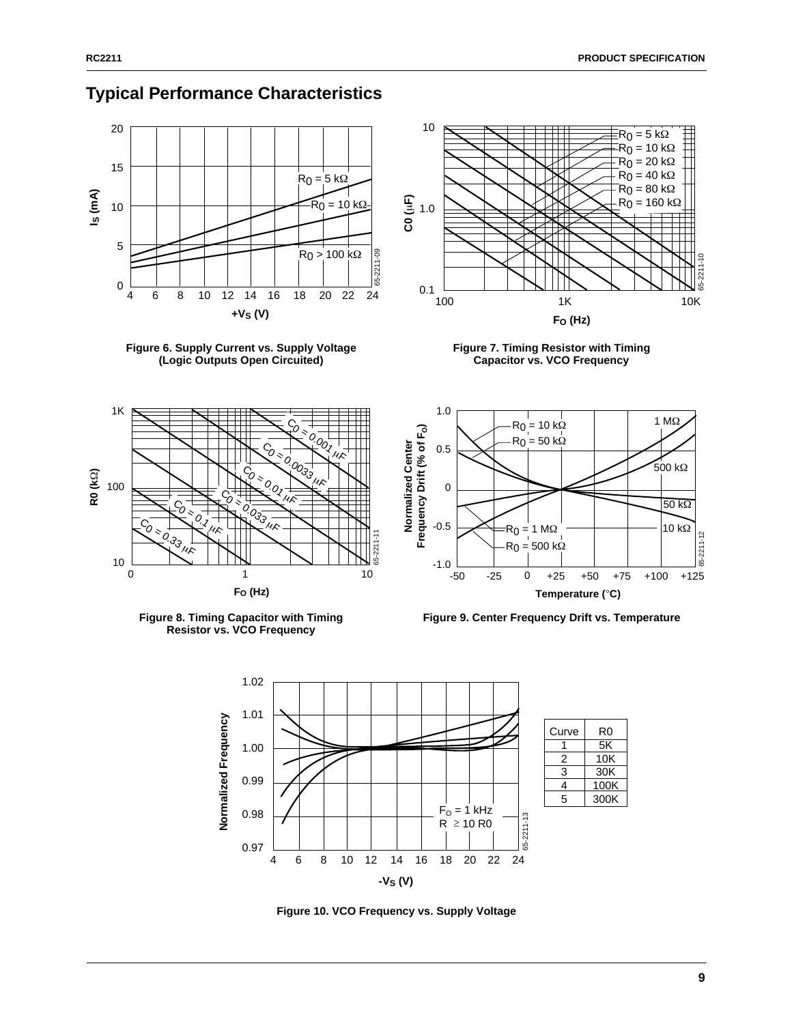

# **Typical Performance Characteristics**











Figure 8. Timing Capacitor with Timing **Figure 9. Center Frequency Drift vs. Temperature** 



**Figure 10. VCO Frequency vs. Supply Voltage**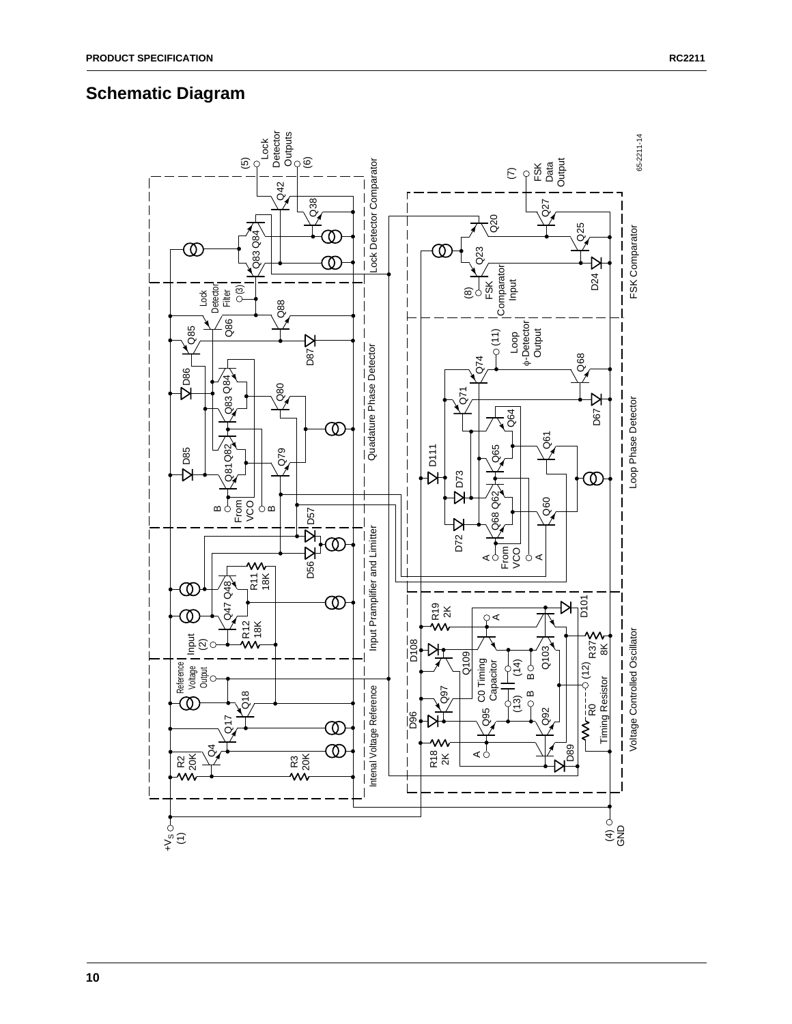## **Schematic Diagram**

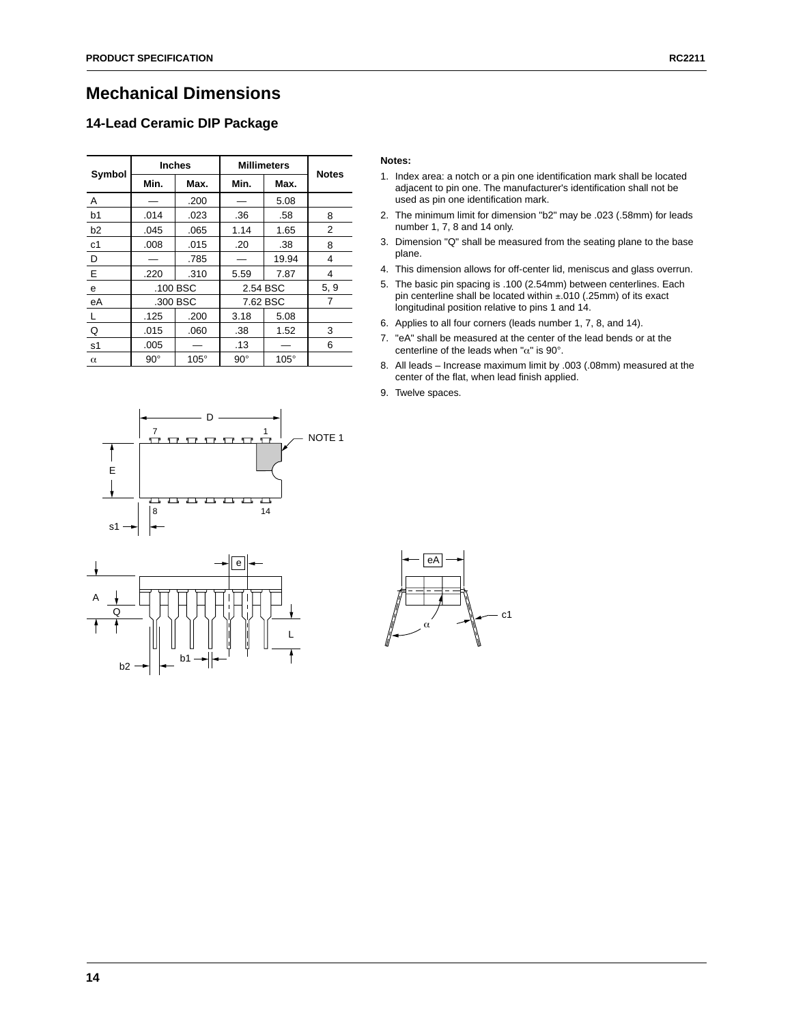### **Mechanical Dimensions**

### **14-Lead Ceramic DIP Package**

| Symbol         | <b>Inches</b> |             | <b>Millimeters</b> | <b>Notes</b> |      |
|----------------|---------------|-------------|--------------------|--------------|------|
|                | Min.          | Max.        | Min.               | Max.         |      |
| Α              |               | .200        |                    | 5.08         |      |
| b <sub>1</sub> | .014          | .023        | .36                | .58          | 8    |
| b2             | .045          | .065        | 1.14               | 1.65         | 2    |
| c1             | .008          | .015        | .20                | .38          | 8    |
| D              |               | .785        |                    | 19.94        | 4    |
| E              | .220          | .310        | 5.59               | 7.87         | 4    |
| e              | .100 BSC      |             | 2.54 BSC           |              | 5, 9 |
| eA             | .300 BSC      |             | 7.62 BSC           |              | 7    |
| L              | .125          | .200        | 3.18               | 5.08         |      |
| Q              | .015          | .060        | .38                | 1.52         | 3    |
| s1             | .005          |             | .13                |              | 6    |
| $\alpha$       | $90^{\circ}$  | $105^\circ$ | $90^{\circ}$       | $105^\circ$  |      |

- 1. Index area: a notch or a pin one identification mark shall be located adjacent to pin one. The manufacturer's identification shall not be used as pin one identification mark.
- 2. The minimum limit for dimension "b2" may be .023 (.58mm) for leads number 1, 7, 8 and 14 only.
- 3. Dimension "Q" shall be measured from the seating plane to the base plane.
- 4. This dimension allows for off-center lid, meniscus and glass overrun.
- 5. The basic pin spacing is .100 (2.54mm) between centerlines. Each pin centerline shall be located within ±.010 (.25mm) of its exact longitudinal position relative to pins 1 and 14.
- 6. Applies to all four corners (leads number 1, 7, 8, and 14).
- 7. "eA" shall be measured at the center of the lead bends or at the centerline of the leads when " $\alpha$ " is 90°.
- 8. All leads Increase maximum limit by .003 (.08mm) measured at the center of the flat, when lead finish applied.
- 9. Twelve spaces.





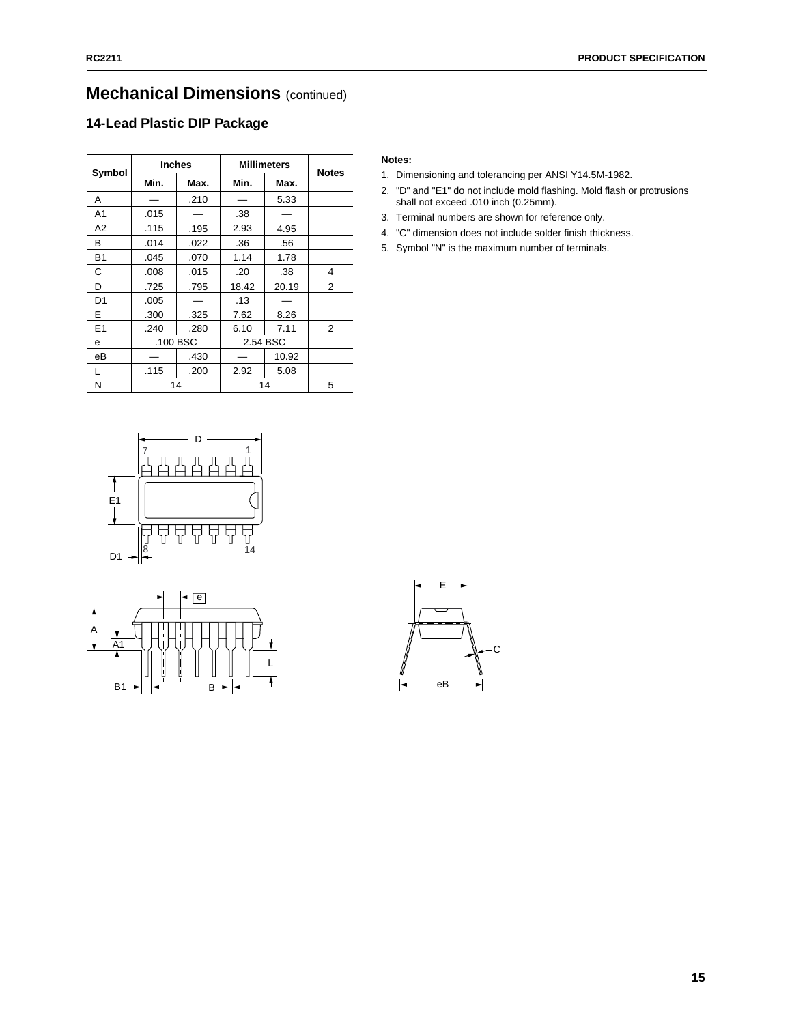# **Mechanical Dimensions** (continued)

### **14-Lead Plastic DIP Package**

| Symbol         | <b>Inches</b> |      | <b>Millimeters</b> | <b>Notes</b> |                |  |
|----------------|---------------|------|--------------------|--------------|----------------|--|
|                | Min.          | Max. | Min.               | Max.         |                |  |
| A              |               | .210 |                    | 5.33         |                |  |
| A <sub>1</sub> | .015          |      | .38                |              |                |  |
| A2             | .115          | .195 | 2.93               | 4.95         |                |  |
| В              | .014          | .022 | .36                | .56          |                |  |
| <b>B1</b>      | .045          | .070 | 1.14               | 1.78         |                |  |
| C              | .008          | .015 | .20                | .38          | 4              |  |
| D              | .725          | .795 | 18.42              | 20.19        | 2              |  |
| D <sub>1</sub> | .005          |      | .13                |              |                |  |
| Е              | .300          | .325 | 7.62               | 8.26         |                |  |
| E1             | .240          | .280 | 6.10               | 7.11         | $\overline{2}$ |  |
| е              | .100 BSC      |      | 2.54 BSC           |              |                |  |
| еB             |               | .430 |                    | 10.92        |                |  |
| L              | .115          | .200 | 2.92               | 5.08         |                |  |
| N              | 14            |      |                    | 14           | 5              |  |

#### D 1 7  $\overline{\mathsf{f}}$ E1  $\overline{\phantom{a}}$ ה<br>זו 8 14 D<sub>1</sub>



- 1. Dimensioning and tolerancing per ANSI Y14.5M-1982.
- 2. "D" and "E1" do not include mold flashing. Mold flash or protrusions shall not exceed .010 inch (0.25mm).
- 3. Terminal numbers are shown for reference only.
- 4. "C" dimension does not include solder finish thickness.
- 5. Symbol "N" is the maximum number of terminals.